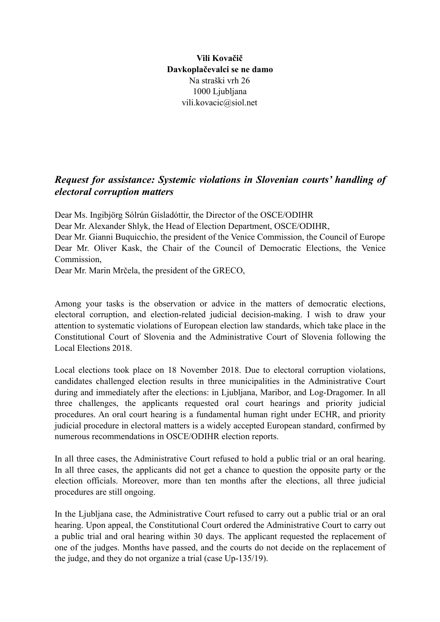**Vili Kovačič Davkoplačevalci se ne damo**  Na straški vrh 26 1000 Ljubljana vili.kovacic@siol.net

## *Request for assistance: Systemic violations in Slovenian courts' handling of electoral corruption matters*

Dear Ms. Ingibjörg Sólrún Gísladóttir, the Director of the OSCE/ODIHR Dear Mr. Alexander Shlyk, the Head of Election Department, OSCE/ODIHR, Dear Mr. Gianni Buquicchio, the president of the Venice Commission, the Council of Europe Dear Mr. Oliver Kask, the Chair of the Council of Democratic Elections, the Venice **Commission** 

Dear Mr. Marin Mrčela, the president of the GRECO,

Among your tasks is the observation or advice in the matters of democratic elections, electoral corruption, and election-related judicial decision-making. I wish to draw your attention to systematic violations of European election law standards, which take place in the Constitutional Court of Slovenia and the Administrative Court of Slovenia following the Local Elections 2018.

Local elections took place on 18 November 2018. Due to electoral corruption violations, candidates challenged election results in three municipalities in the Administrative Court during and immediately after the elections: in Ljubljana, Maribor, and Log-Dragomer. In all three challenges, the applicants requested oral court hearings and priority judicial procedures. An oral court hearing is a fundamental human right under ECHR, and priority judicial procedure in electoral matters is a widely accepted European standard, confirmed by numerous recommendations in OSCE/ODIHR election reports.

In all three cases, the Administrative Court refused to hold a public trial or an oral hearing. In all three cases, the applicants did not get a chance to question the opposite party or the election officials. Moreover, more than ten months after the elections, all three judicial procedures are still ongoing.

In the Ljubljana case, the Administrative Court refused to carry out a public trial or an oral hearing. Upon appeal, the Constitutional Court ordered the Administrative Court to carry out a public trial and oral hearing within 30 days. The applicant requested the replacement of one of the judges. Months have passed, and the courts do not decide on the replacement of the judge, and they do not organize a trial (case Up-135/19).